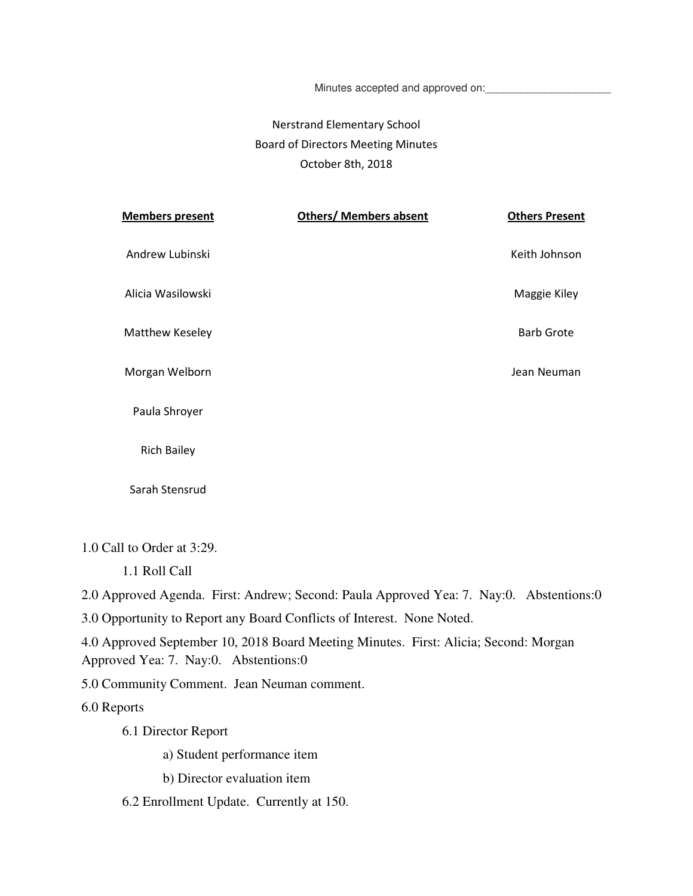Minutes accepted and approved on:

## Nerstrand Elementary School Board of Directors Meeting Minutes October 8th, 2018

| <b>Members present</b> | <b>Others/ Members absent</b> | <b>Others Present</b> |
|------------------------|-------------------------------|-----------------------|
| Andrew Lubinski        |                               | Keith Johnson         |
| Alicia Wasilowski      |                               | Maggie Kiley          |
| Matthew Keseley        |                               | <b>Barb Grote</b>     |
| Morgan Welborn         |                               | Jean Neuman           |
| Paula Shroyer          |                               |                       |
| <b>Rich Bailey</b>     |                               |                       |

Sarah Stensrud

1.0 Call to Order at 3:29.

1.1 Roll Call

2.0 Approved Agenda. First: Andrew; Second: Paula Approved Yea: 7. Nay:0. Abstentions:0

3.0 Opportunity to Report any Board Conflicts of Interest. None Noted.

4.0 Approved September 10, 2018 Board Meeting Minutes. First: Alicia; Second: Morgan Approved Yea: 7. Nay:0. Abstentions:0

5.0 Community Comment. Jean Neuman comment.

6.0 Reports

6.1 Director Report

a) Student performance item

b) Director evaluation item

6.2 Enrollment Update. Currently at 150.